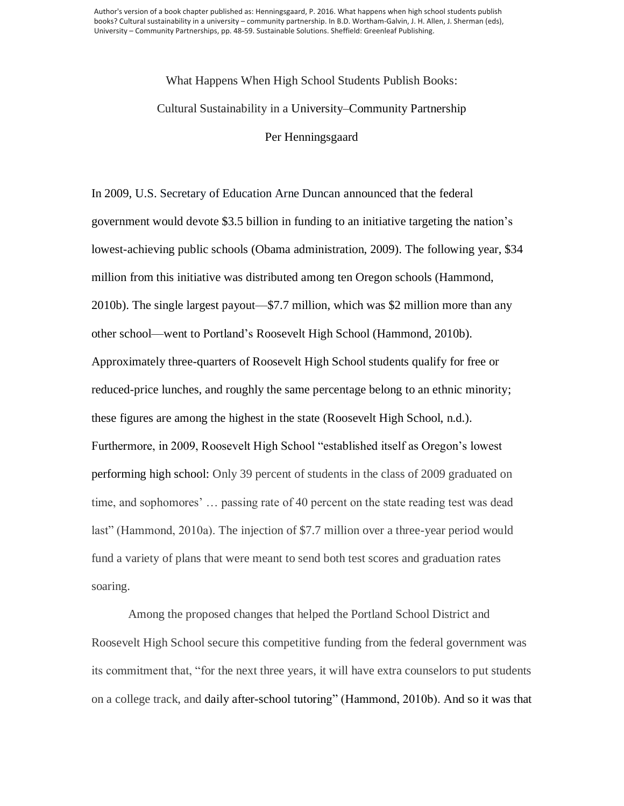Author's version of a book chapter published as: Henningsgaard, P. 2016. What happens when high school students publish books? Cultural sustainability in a university – community partnership. In B.D. Wortham-Galvin, J. H. Allen, J. Sherman (eds), University – Community Partnerships, pp. 48-59. Sustainable Solutions. Sheffield: Greenleaf Publishing.

## What Happens When High School Students Publish Books: Cultural Sustainability in a University–Community Partnership Per Henningsgaard

In 2009, U.S. Secretary of Education Arne Duncan announced that the federal government would devote \$3.5 billion in funding to an initiative targeting the nation's lowest-achieving public schools (Obama administration, 2009). The following year, \$34 million from this initiative was distributed among ten Oregon schools (Hammond, 2010b). The single largest payout—\$7.7 million, which was \$2 million more than any other school—went to Portland's Roosevelt High School (Hammond, 2010b). Approximately three-quarters of Roosevelt High School students qualify for free or reduced-price lunches, and roughly the same percentage belong to an ethnic minority; these figures are among the highest in the state (Roosevelt High School, n.d.). Furthermore, in 2009, Roosevelt High School "established itself as Oregon's lowest performing high school: Only 39 percent of students in the class of 2009 graduated on time, and sophomores' … passing rate of 40 percent on the state reading test was dead last" (Hammond, 2010a). The injection of \$7.7 million over a three-year period would fund a variety of plans that were meant to send both test scores and graduation rates soaring.

Among the proposed changes that helped the Portland School District and Roosevelt High School secure this competitive funding from the federal government was its commitment that, "for the next three years, it will have extra counselors to put students on a college track, and daily after-school tutoring" (Hammond, 2010b). And so it was that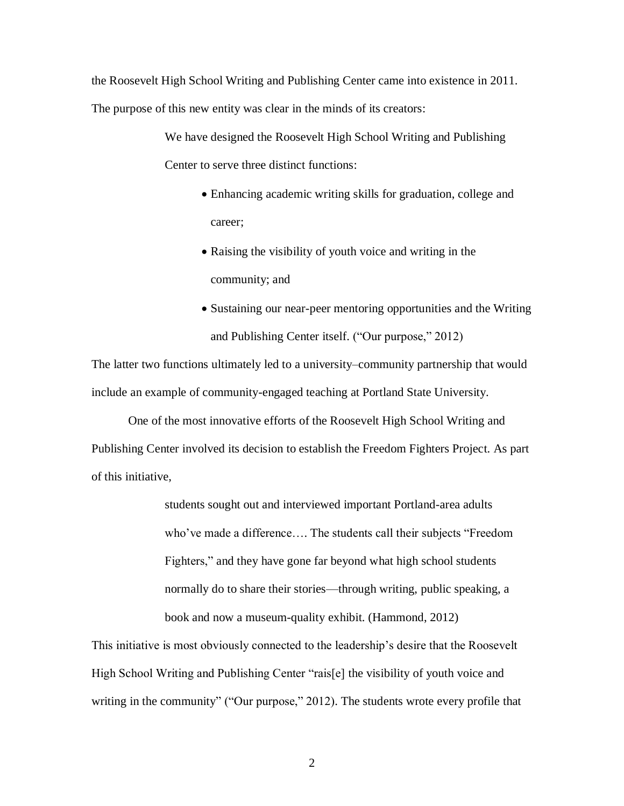the Roosevelt High School Writing and Publishing Center came into existence in 2011. The purpose of this new entity was clear in the minds of its creators:

> We have designed the Roosevelt High School Writing and Publishing Center to serve three distinct functions:

- Enhancing academic writing skills for graduation, college and career;
- Raising the visibility of youth voice and writing in the community; and
- Sustaining our near-peer mentoring opportunities and the Writing and Publishing Center itself. ("Our purpose," 2012)

The latter two functions ultimately led to a university–community partnership that would include an example of community-engaged teaching at Portland State University.

One of the most innovative efforts of the Roosevelt High School Writing and Publishing Center involved its decision to establish the Freedom Fighters Project. As part of this initiative,

> students sought out and interviewed important Portland-area adults who've made a difference…. The students call their subjects "Freedom Fighters," and they have gone far beyond what high school students normally do to share their stories—through writing, public speaking, a book and now a museum-quality exhibit. (Hammond, 2012)

This initiative is most obviously connected to the leadership's desire that the Roosevelt High School Writing and Publishing Center "rais[e] the visibility of youth voice and writing in the community" ("Our purpose," 2012). The students wrote every profile that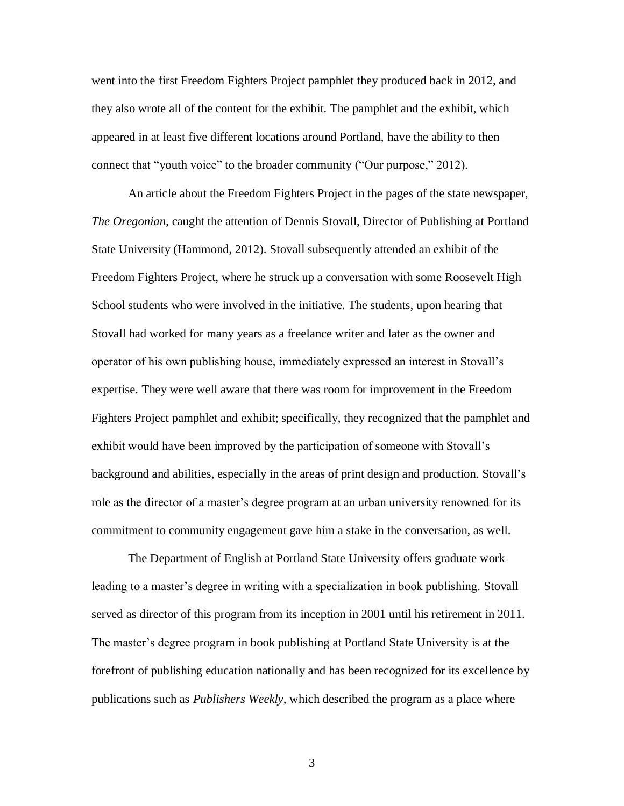went into the first Freedom Fighters Project pamphlet they produced back in 2012, and they also wrote all of the content for the exhibit. The pamphlet and the exhibit, which appeared in at least five different locations around Portland, have the ability to then connect that "youth voice" to the broader community ("Our purpose," 2012).

An article about the Freedom Fighters Project in the pages of the state newspaper, *The Oregonian*, caught the attention of Dennis Stovall, Director of Publishing at Portland State University (Hammond, 2012). Stovall subsequently attended an exhibit of the Freedom Fighters Project, where he struck up a conversation with some Roosevelt High School students who were involved in the initiative. The students, upon hearing that Stovall had worked for many years as a freelance writer and later as the owner and operator of his own publishing house, immediately expressed an interest in Stovall's expertise. They were well aware that there was room for improvement in the Freedom Fighters Project pamphlet and exhibit; specifically, they recognized that the pamphlet and exhibit would have been improved by the participation of someone with Stovall's background and abilities, especially in the areas of print design and production. Stovall's role as the director of a master's degree program at an urban university renowned for its commitment to community engagement gave him a stake in the conversation, as well.

The Department of English at Portland State University offers graduate work leading to a master's degree in writing with a specialization in book publishing. Stovall served as director of this program from its inception in 2001 until his retirement in 2011. The master's degree program in book publishing at Portland State University is at the forefront of publishing education nationally and has been recognized for its excellence by publications such as *Publishers Weekly*, which described the program as a place where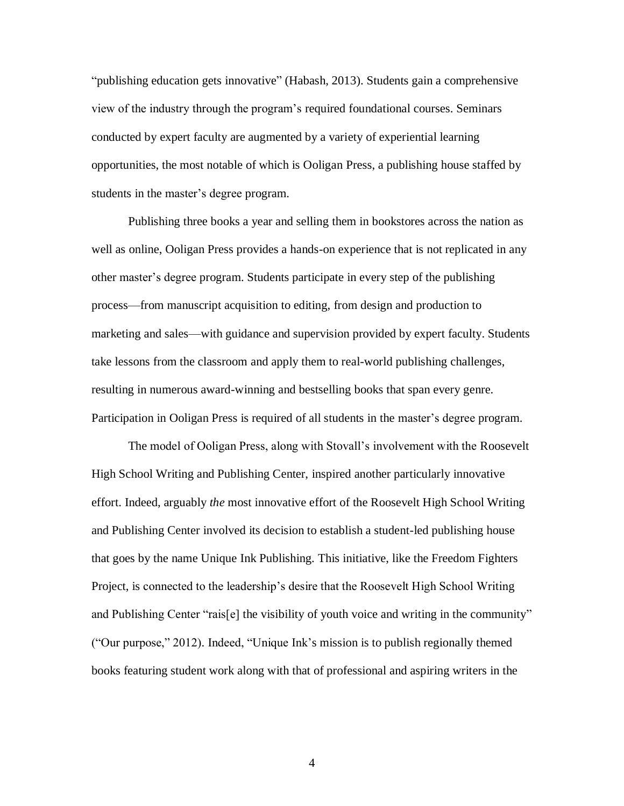"publishing education gets innovative" (Habash, 2013). Students gain a comprehensive view of the industry through the program's required foundational courses. Seminars conducted by expert faculty are augmented by a variety of experiential learning opportunities, the most notable of which is Ooligan Press, a publishing house staffed by students in the master's degree program.

Publishing three books a year and selling them in bookstores across the nation as well as online, Ooligan Press provides a hands-on experience that is not replicated in any other master's degree program. Students participate in every step of the publishing process—from manuscript acquisition to editing, from design and production to marketing and sales—with guidance and supervision provided by expert faculty. Students take lessons from the classroom and apply them to real-world publishing challenges, resulting in numerous award-winning and bestselling books that span every genre. Participation in Ooligan Press is required of all students in the master's degree program.

The model of Ooligan Press, along with Stovall's involvement with the Roosevelt High School Writing and Publishing Center, inspired another particularly innovative effort. Indeed, arguably *the* most innovative effort of the Roosevelt High School Writing and Publishing Center involved its decision to establish a student-led publishing house that goes by the name Unique Ink Publishing. This initiative, like the Freedom Fighters Project, is connected to the leadership's desire that the Roosevelt High School Writing and Publishing Center "rais[e] the visibility of youth voice and writing in the community" ("Our purpose," 2012). Indeed, "Unique Ink's mission is to publish regionally themed books featuring student work along with that of professional and aspiring writers in the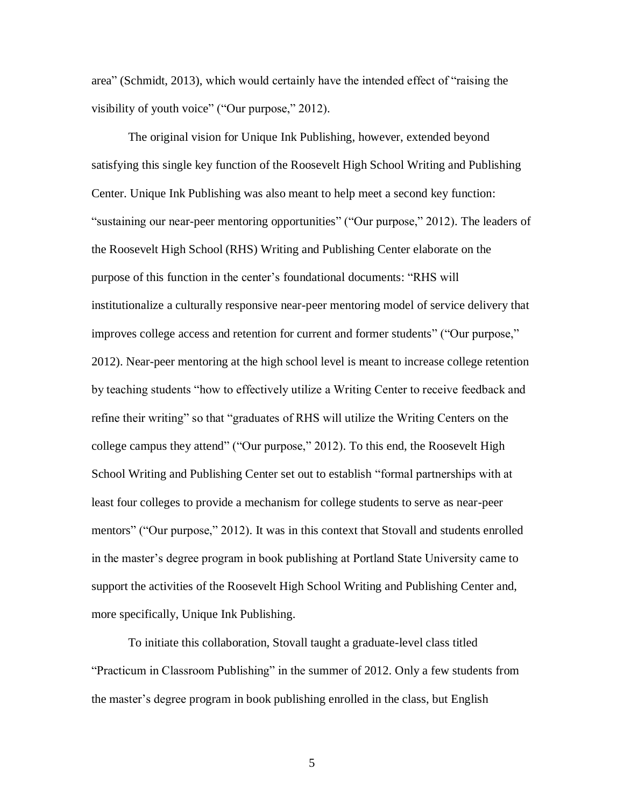area" (Schmidt, 2013), which would certainly have the intended effect of "raising the visibility of youth voice" ("Our purpose," 2012).

The original vision for Unique Ink Publishing, however, extended beyond satisfying this single key function of the Roosevelt High School Writing and Publishing Center. Unique Ink Publishing was also meant to help meet a second key function: "sustaining our near-peer mentoring opportunities" ("Our purpose," 2012). The leaders of the Roosevelt High School (RHS) Writing and Publishing Center elaborate on the purpose of this function in the center's foundational documents: "RHS will institutionalize a culturally responsive near-peer mentoring model of service delivery that improves college access and retention for current and former students" ("Our purpose," 2012). Near-peer mentoring at the high school level is meant to increase college retention by teaching students "how to effectively utilize a Writing Center to receive feedback and refine their writing" so that "graduates of RHS will utilize the Writing Centers on the college campus they attend" ("Our purpose," 2012). To this end, the Roosevelt High School Writing and Publishing Center set out to establish "formal partnerships with at least four colleges to provide a mechanism for college students to serve as near-peer mentors" ("Our purpose," 2012). It was in this context that Stovall and students enrolled in the master's degree program in book publishing at Portland State University came to support the activities of the Roosevelt High School Writing and Publishing Center and, more specifically, Unique Ink Publishing.

To initiate this collaboration, Stovall taught a graduate-level class titled "Practicum in Classroom Publishing" in the summer of 2012. Only a few students from the master's degree program in book publishing enrolled in the class, but English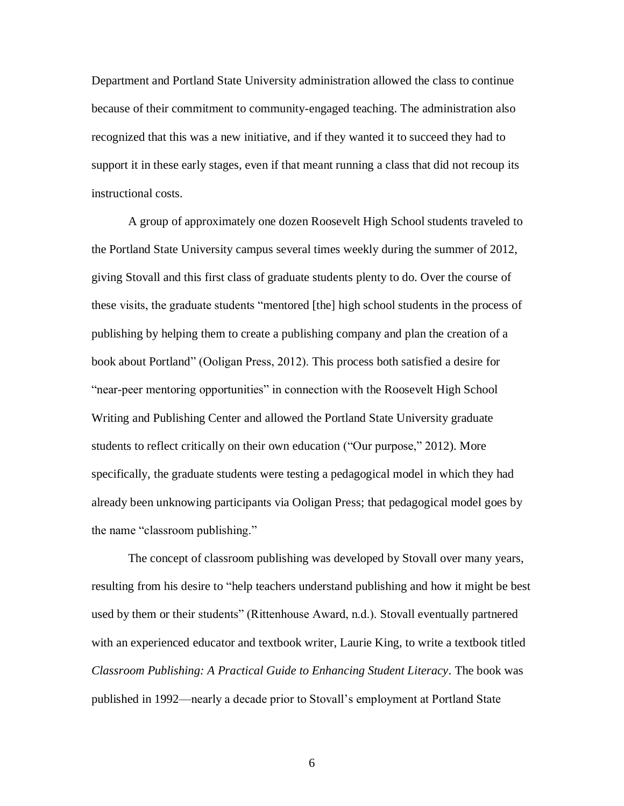Department and Portland State University administration allowed the class to continue because of their commitment to community-engaged teaching. The administration also recognized that this was a new initiative, and if they wanted it to succeed they had to support it in these early stages, even if that meant running a class that did not recoup its instructional costs.

A group of approximately one dozen Roosevelt High School students traveled to the Portland State University campus several times weekly during the summer of 2012, giving Stovall and this first class of graduate students plenty to do. Over the course of these visits, the graduate students "mentored [the] high school students in the process of publishing by helping them to create a publishing company and plan the creation of a book about Portland" (Ooligan Press, 2012). This process both satisfied a desire for "near-peer mentoring opportunities" in connection with the Roosevelt High School Writing and Publishing Center and allowed the Portland State University graduate students to reflect critically on their own education ("Our purpose," 2012). More specifically, the graduate students were testing a pedagogical model in which they had already been unknowing participants via Ooligan Press; that pedagogical model goes by the name "classroom publishing."

The concept of classroom publishing was developed by Stovall over many years, resulting from his desire to "help teachers understand publishing and how it might be best used by them or their students" (Rittenhouse Award, n.d.). Stovall eventually partnered with an experienced educator and textbook writer, Laurie King, to write a textbook titled *Classroom Publishing: A Practical Guide to Enhancing Student Literacy*. The book was published in 1992—nearly a decade prior to Stovall's employment at Portland State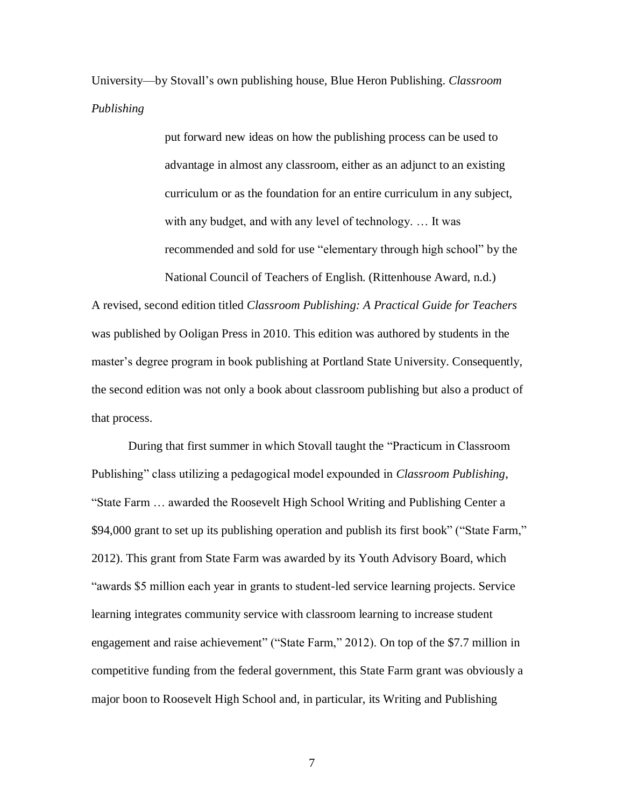University—by Stovall's own publishing house, Blue Heron Publishing. *Classroom Publishing*

> put forward new ideas on how the publishing process can be used to advantage in almost any classroom, either as an adjunct to an existing curriculum or as the foundation for an entire curriculum in any subject, with any budget, and with any level of technology. … It was recommended and sold for use "elementary through high school" by the National Council of Teachers of English. (Rittenhouse Award, n.d.)

A revised, second edition titled *Classroom Publishing: A Practical Guide for Teachers*  was published by Ooligan Press in 2010. This edition was authored by students in the master's degree program in book publishing at Portland State University. Consequently, the second edition was not only a book about classroom publishing but also a product of that process.

During that first summer in which Stovall taught the "Practicum in Classroom Publishing" class utilizing a pedagogical model expounded in *Classroom Publishing*, "State Farm … awarded the Roosevelt High School Writing and Publishing Center a \$94,000 grant to set up its publishing operation and publish its first book" ("State Farm," 2012). This grant from State Farm was awarded by its Youth Advisory Board, which "awards \$5 million each year in grants to student-led service learning projects. Service learning integrates community service with classroom learning to increase student engagement and raise achievement" ("State Farm," 2012). On top of the \$7.7 million in competitive funding from the federal government, this State Farm grant was obviously a major boon to Roosevelt High School and, in particular, its Writing and Publishing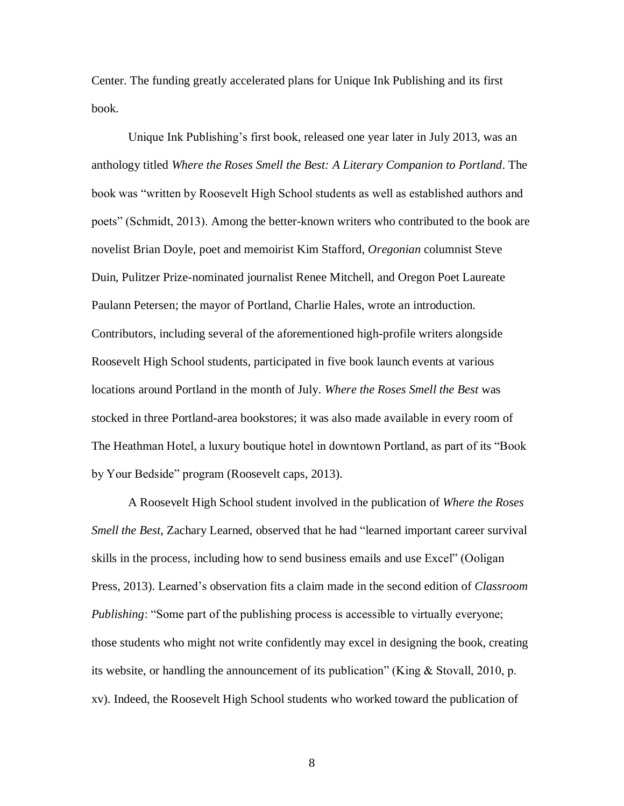Center. The funding greatly accelerated plans for Unique Ink Publishing and its first book.

Unique Ink Publishing's first book, released one year later in July 2013, was an anthology titled *Where the Roses Smell the Best: A Literary Companion to Portland*. The book was "written by Roosevelt High School students as well as established authors and poets" (Schmidt, 2013). Among the better-known writers who contributed to the book are novelist Brian Doyle, poet and memoirist Kim Stafford, *Oregonian* columnist Steve Duin, Pulitzer Prize-nominated journalist Renee Mitchell, and Oregon Poet Laureate Paulann Petersen; the mayor of Portland, Charlie Hales, wrote an introduction. Contributors, including several of the aforementioned high-profile writers alongside Roosevelt High School students, participated in five book launch events at various locations around Portland in the month of July. *Where the Roses Smell the Best* was stocked in three Portland-area bookstores; it was also made available in every room of The Heathman Hotel, a luxury boutique hotel in downtown Portland, as part of its "Book by Your Bedside" program (Roosevelt caps, 2013).

A Roosevelt High School student involved in the publication of *Where the Roses Smell the Best*, Zachary Learned, observed that he had "learned important career survival skills in the process, including how to send business emails and use Excel" (Ooligan Press, 2013). Learned's observation fits a claim made in the second edition of *Classroom Publishing*: "Some part of the publishing process is accessible to virtually everyone; those students who might not write confidently may excel in designing the book, creating its website, or handling the announcement of its publication" (King & Stovall, 2010, p. xv). Indeed, the Roosevelt High School students who worked toward the publication of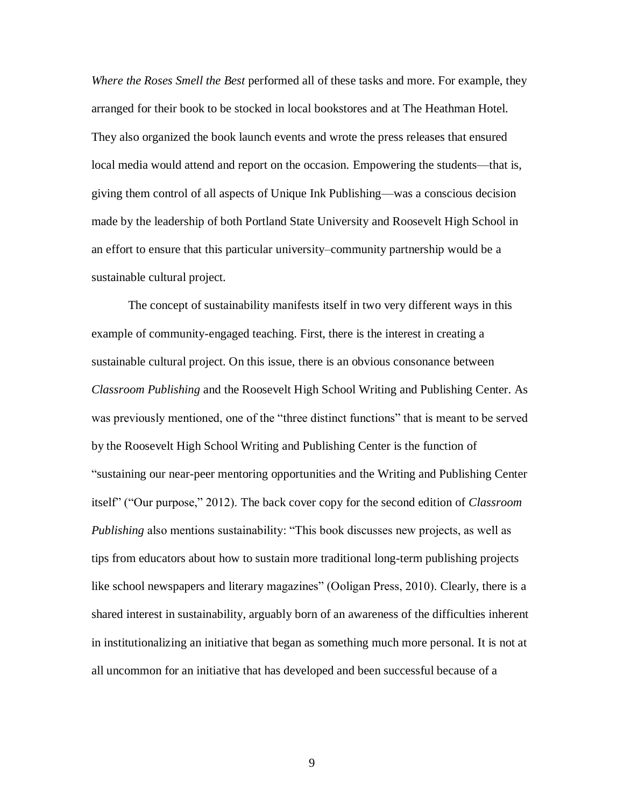*Where the Roses Smell the Best* performed all of these tasks and more. For example, they arranged for their book to be stocked in local bookstores and at The Heathman Hotel. They also organized the book launch events and wrote the press releases that ensured local media would attend and report on the occasion. Empowering the students—that is, giving them control of all aspects of Unique Ink Publishing—was a conscious decision made by the leadership of both Portland State University and Roosevelt High School in an effort to ensure that this particular university–community partnership would be a sustainable cultural project.

The concept of sustainability manifests itself in two very different ways in this example of community-engaged teaching. First, there is the interest in creating a sustainable cultural project. On this issue, there is an obvious consonance between *Classroom Publishing* and the Roosevelt High School Writing and Publishing Center. As was previously mentioned, one of the "three distinct functions" that is meant to be served by the Roosevelt High School Writing and Publishing Center is the function of "sustaining our near-peer mentoring opportunities and the Writing and Publishing Center itself" ("Our purpose," 2012). The back cover copy for the second edition of *Classroom Publishing* also mentions sustainability: "This book discusses new projects, as well as tips from educators about how to sustain more traditional long-term publishing projects like school newspapers and literary magazines" (Ooligan Press, 2010). Clearly, there is a shared interest in sustainability, arguably born of an awareness of the difficulties inherent in institutionalizing an initiative that began as something much more personal. It is not at all uncommon for an initiative that has developed and been successful because of a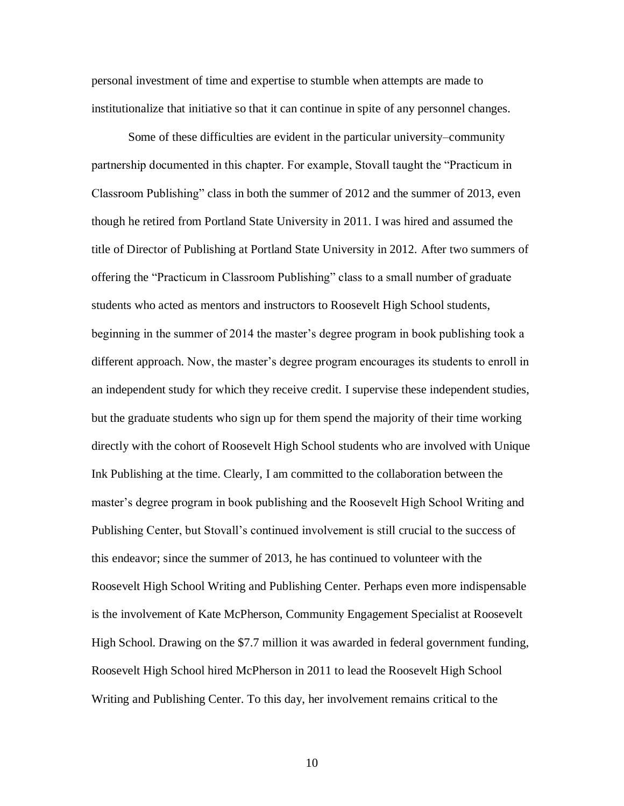personal investment of time and expertise to stumble when attempts are made to institutionalize that initiative so that it can continue in spite of any personnel changes.

Some of these difficulties are evident in the particular university–community partnership documented in this chapter. For example, Stovall taught the "Practicum in Classroom Publishing" class in both the summer of 2012 and the summer of 2013, even though he retired from Portland State University in 2011. I was hired and assumed the title of Director of Publishing at Portland State University in 2012. After two summers of offering the "Practicum in Classroom Publishing" class to a small number of graduate students who acted as mentors and instructors to Roosevelt High School students, beginning in the summer of 2014 the master's degree program in book publishing took a different approach. Now, the master's degree program encourages its students to enroll in an independent study for which they receive credit. I supervise these independent studies, but the graduate students who sign up for them spend the majority of their time working directly with the cohort of Roosevelt High School students who are involved with Unique Ink Publishing at the time. Clearly, I am committed to the collaboration between the master's degree program in book publishing and the Roosevelt High School Writing and Publishing Center, but Stovall's continued involvement is still crucial to the success of this endeavor; since the summer of 2013, he has continued to volunteer with the Roosevelt High School Writing and Publishing Center. Perhaps even more indispensable is the involvement of Kate McPherson, Community Engagement Specialist at Roosevelt High School. Drawing on the \$7.7 million it was awarded in federal government funding, Roosevelt High School hired McPherson in 2011 to lead the Roosevelt High School Writing and Publishing Center. To this day, her involvement remains critical to the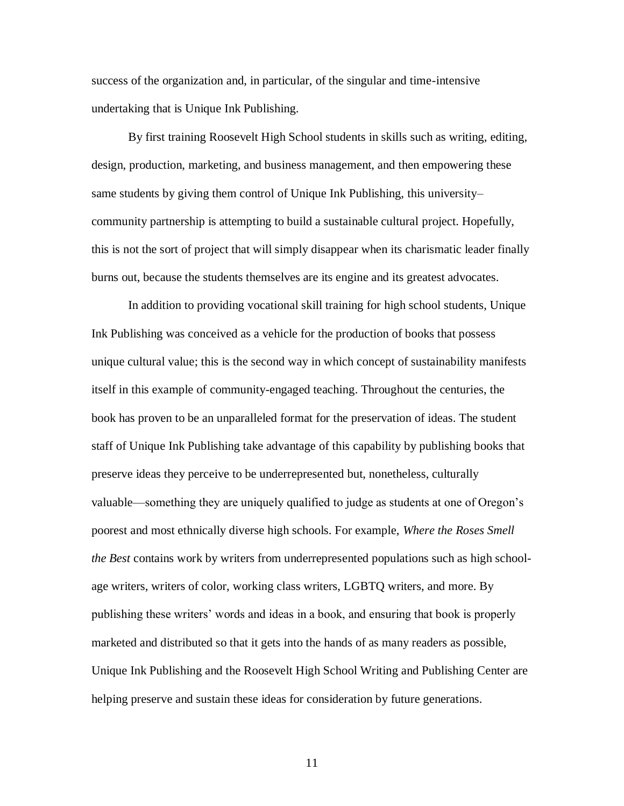success of the organization and, in particular, of the singular and time-intensive undertaking that is Unique Ink Publishing.

By first training Roosevelt High School students in skills such as writing, editing, design, production, marketing, and business management, and then empowering these same students by giving them control of Unique Ink Publishing, this university– community partnership is attempting to build a sustainable cultural project. Hopefully, this is not the sort of project that will simply disappear when its charismatic leader finally burns out, because the students themselves are its engine and its greatest advocates.

In addition to providing vocational skill training for high school students, Unique Ink Publishing was conceived as a vehicle for the production of books that possess unique cultural value; this is the second way in which concept of sustainability manifests itself in this example of community-engaged teaching. Throughout the centuries, the book has proven to be an unparalleled format for the preservation of ideas. The student staff of Unique Ink Publishing take advantage of this capability by publishing books that preserve ideas they perceive to be underrepresented but, nonetheless, culturally valuable—something they are uniquely qualified to judge as students at one of Oregon's poorest and most ethnically diverse high schools. For example, *Where the Roses Smell the Best* contains work by writers from underrepresented populations such as high schoolage writers, writers of color, working class writers, LGBTQ writers, and more. By publishing these writers' words and ideas in a book, and ensuring that book is properly marketed and distributed so that it gets into the hands of as many readers as possible, Unique Ink Publishing and the Roosevelt High School Writing and Publishing Center are helping preserve and sustain these ideas for consideration by future generations.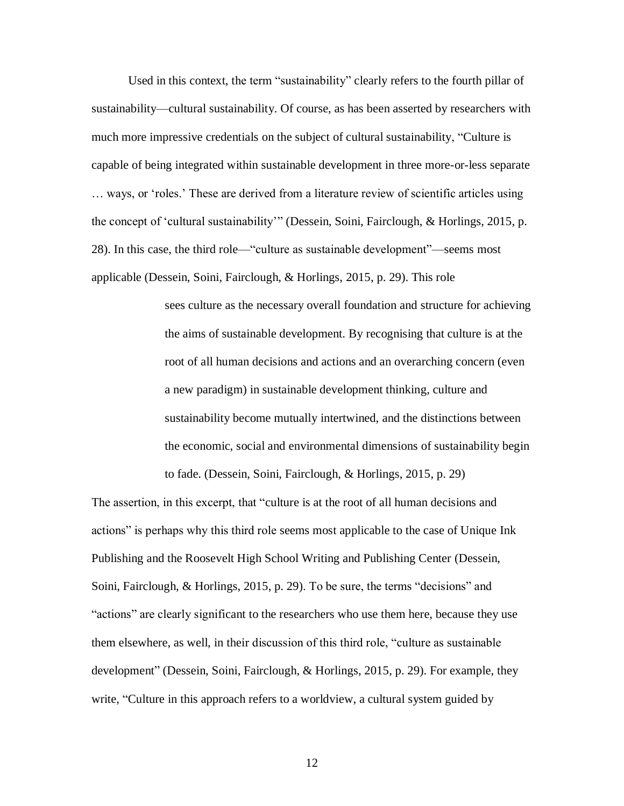Used in this context, the term "sustainability" clearly refers to the fourth pillar of sustainability—cultural sustainability. Of course, as has been asserted by researchers with much more impressive credentials on the subject of cultural sustainability, "Culture is capable of being integrated within sustainable development in three more-or-less separate … ways, or 'roles.' These are derived from a literature review of scientific articles using the concept of 'cultural sustainability'" (Dessein, Soini, Fairclough, & Horlings, 2015, p. 28). In this case, the third role—"culture as sustainable development"—seems most applicable (Dessein, Soini, Fairclough, & Horlings, 2015, p. 29). This role

> sees culture as the necessary overall foundation and structure for achieving the aims of sustainable development. By recognising that culture is at the root of all human decisions and actions and an overarching concern (even a new paradigm) in sustainable development thinking, culture and sustainability become mutually intertwined, and the distinctions between the economic, social and environmental dimensions of sustainability begin to fade. (Dessein, Soini, Fairclough, & Horlings, 2015, p. 29)

The assertion, in this excerpt, that "culture is at the root of all human decisions and actions" is perhaps why this third role seems most applicable to the case of Unique Ink Publishing and the Roosevelt High School Writing and Publishing Center (Dessein, Soini, Fairclough, & Horlings, 2015, p. 29). To be sure, the terms "decisions" and "actions" are clearly significant to the researchers who use them here, because they use them elsewhere, as well, in their discussion of this third role, "culture as sustainable development" (Dessein, Soini, Fairclough, & Horlings, 2015, p. 29). For example, they write, "Culture in this approach refers to a worldview, a cultural system guided by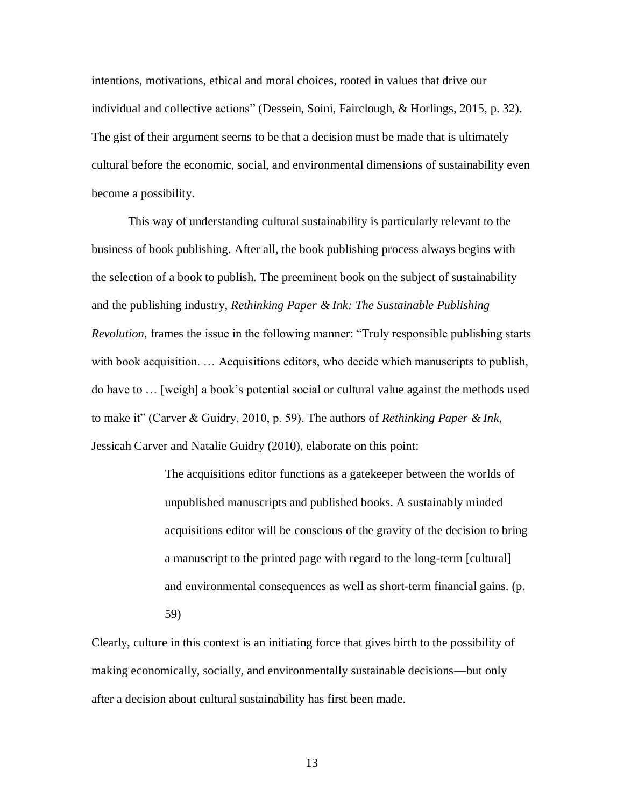intentions, motivations, ethical and moral choices, rooted in values that drive our individual and collective actions" (Dessein, Soini, Fairclough, & Horlings, 2015, p. 32). The gist of their argument seems to be that a decision must be made that is ultimately cultural before the economic, social, and environmental dimensions of sustainability even become a possibility.

This way of understanding cultural sustainability is particularly relevant to the business of book publishing. After all, the book publishing process always begins with the selection of a book to publish. The preeminent book on the subject of sustainability and the publishing industry, *Rethinking Paper & Ink: The Sustainable Publishing Revolution*, frames the issue in the following manner: "Truly responsible publishing starts with book acquisition. … Acquisitions editors, who decide which manuscripts to publish, do have to … [weigh] a book's potential social or cultural value against the methods used to make it" (Carver & Guidry, 2010, p. 59). The authors of *Rethinking Paper & Ink*, Jessicah Carver and Natalie Guidry (2010), elaborate on this point:

> The acquisitions editor functions as a gatekeeper between the worlds of unpublished manuscripts and published books. A sustainably minded acquisitions editor will be conscious of the gravity of the decision to bring a manuscript to the printed page with regard to the long-term [cultural] and environmental consequences as well as short-term financial gains. (p. 59)

Clearly, culture in this context is an initiating force that gives birth to the possibility of making economically, socially, and environmentally sustainable decisions—but only after a decision about cultural sustainability has first been made.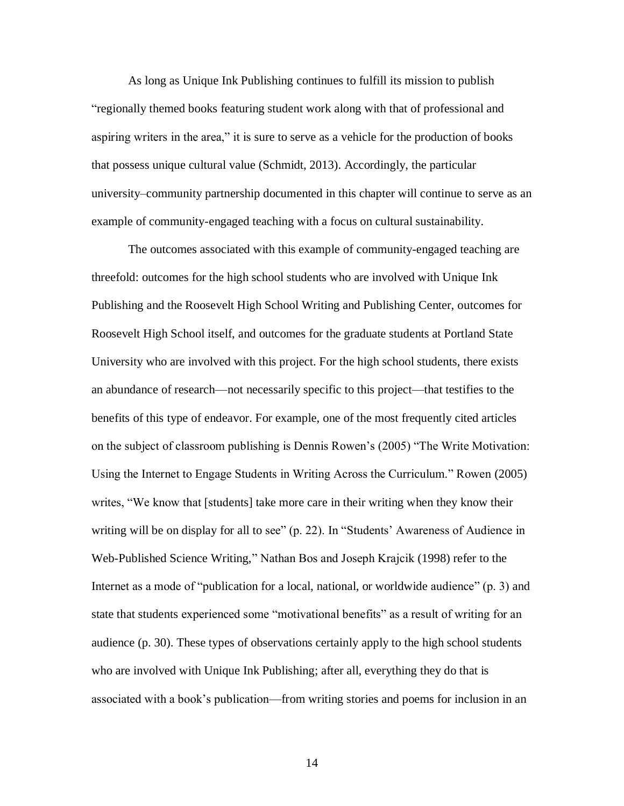As long as Unique Ink Publishing continues to fulfill its mission to publish "regionally themed books featuring student work along with that of professional and aspiring writers in the area," it is sure to serve as a vehicle for the production of books that possess unique cultural value (Schmidt, 2013). Accordingly, the particular university–community partnership documented in this chapter will continue to serve as an example of community-engaged teaching with a focus on cultural sustainability.

The outcomes associated with this example of community-engaged teaching are threefold: outcomes for the high school students who are involved with Unique Ink Publishing and the Roosevelt High School Writing and Publishing Center, outcomes for Roosevelt High School itself, and outcomes for the graduate students at Portland State University who are involved with this project. For the high school students, there exists an abundance of research—not necessarily specific to this project—that testifies to the benefits of this type of endeavor. For example, one of the most frequently cited articles on the subject of classroom publishing is Dennis Rowen's (2005) "The Write Motivation: Using the Internet to Engage Students in Writing Across the Curriculum." Rowen (2005) writes, "We know that [students] take more care in their writing when they know their writing will be on display for all to see" (p. 22). In "Students' Awareness of Audience in Web-Published Science Writing," Nathan Bos and Joseph Krajcik (1998) refer to the Internet as a mode of "publication for a local, national, or worldwide audience" (p. 3) and state that students experienced some "motivational benefits" as a result of writing for an audience (p. 30). These types of observations certainly apply to the high school students who are involved with Unique Ink Publishing; after all, everything they do that is associated with a book's publication—from writing stories and poems for inclusion in an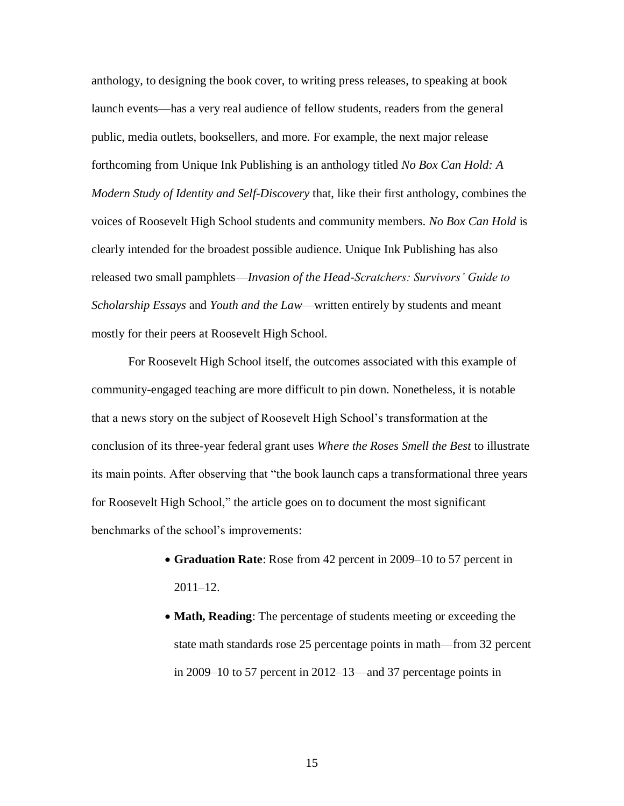anthology, to designing the book cover, to writing press releases, to speaking at book launch events—has a very real audience of fellow students, readers from the general public, media outlets, booksellers, and more. For example, the next major release forthcoming from Unique Ink Publishing is an anthology titled *No Box Can Hold: A Modern Study of Identity and Self-Discovery* that, like their first anthology, combines the voices of Roosevelt High School students and community members. *No Box Can Hold* is clearly intended for the broadest possible audience. Unique Ink Publishing has also released two small pamphlets—*Invasion of the Head-Scratchers: Survivors' Guide to Scholarship Essays* and *Youth and the Law*—written entirely by students and meant mostly for their peers at Roosevelt High School.

For Roosevelt High School itself, the outcomes associated with this example of community-engaged teaching are more difficult to pin down. Nonetheless, it is notable that a news story on the subject of Roosevelt High School's transformation at the conclusion of its three-year federal grant uses *Where the Roses Smell the Best* to illustrate its main points. After observing that "the book launch caps a transformational three years for Roosevelt High School," the article goes on to document the most significant benchmarks of the school's improvements:

- **Graduation Rate**: Rose from 42 percent in 2009–10 to 57 percent in 2011–12.
- **Math, Reading**: The percentage of students meeting or exceeding the state math standards rose 25 percentage points in math—from 32 percent in 2009–10 to 57 percent in 2012–13—and 37 percentage points in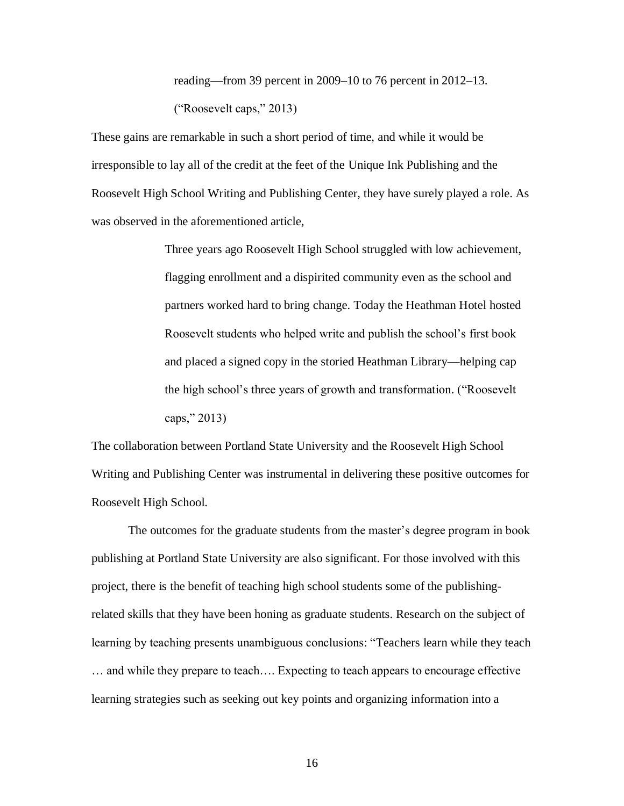reading—from 39 percent in 2009–10 to 76 percent in 2012–13. ("Roosevelt caps," 2013)

These gains are remarkable in such a short period of time, and while it would be irresponsible to lay all of the credit at the feet of the Unique Ink Publishing and the Roosevelt High School Writing and Publishing Center, they have surely played a role. As was observed in the aforementioned article,

> Three years ago Roosevelt High School struggled with low achievement, flagging enrollment and a dispirited community even as the school and partners worked hard to bring change. Today the Heathman Hotel hosted Roosevelt students who helped write and publish the school's first book and placed a signed copy in the storied Heathman Library—helping cap the high school's three years of growth and transformation. ("Roosevelt caps," 2013)

The collaboration between Portland State University and the Roosevelt High School Writing and Publishing Center was instrumental in delivering these positive outcomes for Roosevelt High School.

The outcomes for the graduate students from the master's degree program in book publishing at Portland State University are also significant. For those involved with this project, there is the benefit of teaching high school students some of the publishingrelated skills that they have been honing as graduate students. Research on the subject of learning by teaching presents unambiguous conclusions: "Teachers learn while they teach … and while they prepare to teach…. Expecting to teach appears to encourage effective learning strategies such as seeking out key points and organizing information into a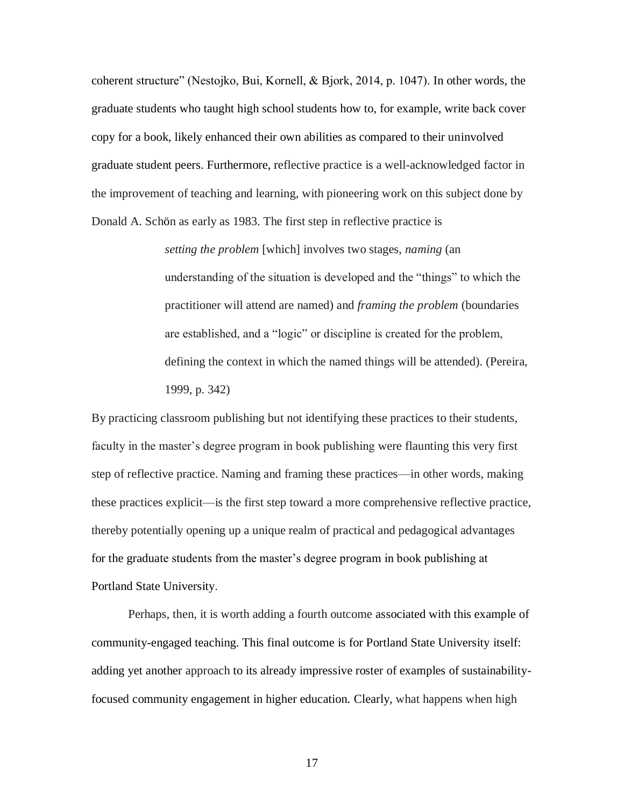coherent structure" (Nestojko, Bui, Kornell, & Bjork, 2014, p. 1047). In other words, the graduate students who taught high school students how to, for example, write back cover copy for a book, likely enhanced their own abilities as compared to their uninvolved graduate student peers. Furthermore, reflective practice is a well-acknowledged factor in the improvement of teaching and learning, with pioneering work on this subject done by Donald A. Schön as early as 1983. The first step in reflective practice is

> *setting the problem* [which] involves two stages, *naming* (an understanding of the situation is developed and the "things" to which the practitioner will attend are named) and *framing the problem* (boundaries are established, and a "logic" or discipline is created for the problem, defining the context in which the named things will be attended). (Pereira, 1999, p. 342)

By practicing classroom publishing but not identifying these practices to their students, faculty in the master's degree program in book publishing were flaunting this very first step of reflective practice. Naming and framing these practices—in other words, making these practices explicit—is the first step toward a more comprehensive reflective practice, thereby potentially opening up a unique realm of practical and pedagogical advantages for the graduate students from the master's degree program in book publishing at Portland State University.

Perhaps, then, it is worth adding a fourth outcome associated with this example of community-engaged teaching. This final outcome is for Portland State University itself: adding yet another approach to its already impressive roster of examples of sustainabilityfocused community engagement in higher education. Clearly, what happens when high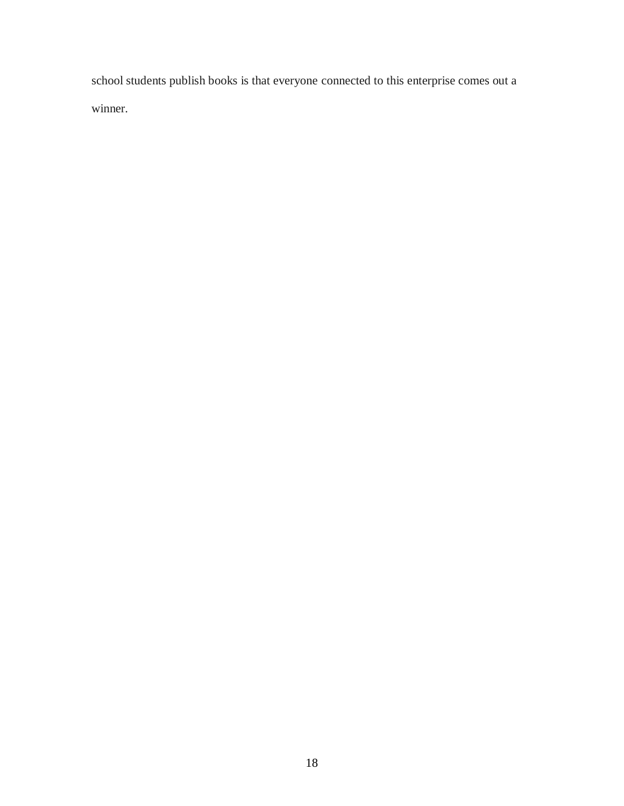school students publish books is that everyone connected to this enterprise comes out a winner.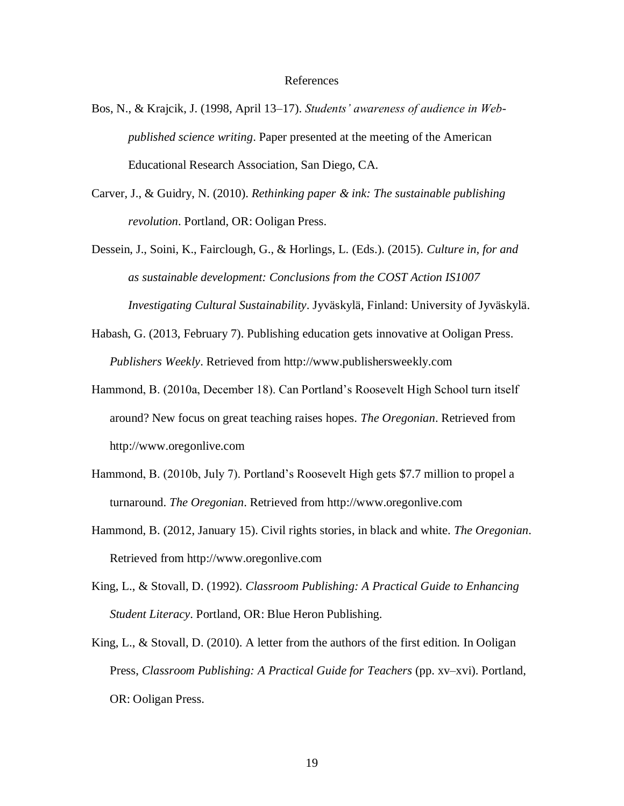## References

- Bos, N., & Krajcik, J. (1998, April 13–17). *Students' awareness of audience in Webpublished science writing*. Paper presented at the meeting of the American Educational Research Association, San Diego, CA.
- Carver, J., & Guidry, N. (2010). *Rethinking paper & ink: The sustainable publishing revolution*. Portland, OR: Ooligan Press.
- Dessein, J., Soini, K., Fairclough, G., & Horlings, L. (Eds.). (2015). *Culture in, for and as sustainable development: Conclusions from the COST Action IS1007 Investigating Cultural Sustainability*. Jyväskylä, Finland: University of Jyväskylä.
- Habash, G. (2013, February 7). Publishing education gets innovative at Ooligan Press. *Publishers Weekly*. Retrieved from http://www.publishersweekly.com
- Hammond, B. (2010a, December 18). Can Portland's Roosevelt High School turn itself around? New focus on great teaching raises hopes. *The Oregonian*. Retrieved from http://www.oregonlive.com
- Hammond, B. (2010b, July 7). Portland's Roosevelt High gets \$7.7 million to propel a turnaround. *The Oregonian*. Retrieved from http://www.oregonlive.com
- Hammond, B. (2012, January 15). Civil rights stories, in black and white. *The Oregonian*. Retrieved from http://www.oregonlive.com
- King, L., & Stovall, D. (1992). *Classroom Publishing: A Practical Guide to Enhancing Student Literacy*. Portland, OR: Blue Heron Publishing.
- King, L., & Stovall, D. (2010). A letter from the authors of the first edition. In Ooligan Press, *Classroom Publishing: A Practical Guide for Teachers* (pp. xv–xvi). Portland, OR: Ooligan Press.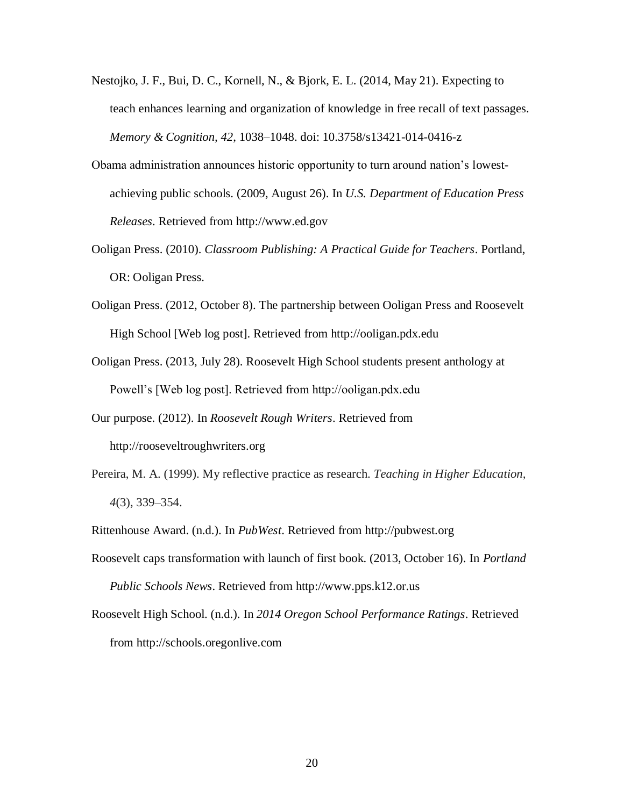- Nestojko, J. F., Bui, D. C., Kornell, N., & Bjork, E. L. (2014, May 21). Expecting to teach enhances learning and organization of knowledge in free recall of text passages. *Memory & Cognition, 42*, 1038–1048. doi: 10.3758/s13421-014-0416-z
- Obama administration announces historic opportunity to turn around nation's lowestachieving public schools. (2009, August 26). In *U.S. Department of Education Press Releases*. Retrieved from http://www.ed.gov
- Ooligan Press. (2010). *Classroom Publishing: A Practical Guide for Teachers*. Portland, OR: Ooligan Press.
- Ooligan Press. (2012, October 8). The partnership between Ooligan Press and Roosevelt High School [Web log post]. Retrieved from http://ooligan.pdx.edu
- Ooligan Press. (2013, July 28). Roosevelt High School students present anthology at Powell's [Web log post]. Retrieved from http://ooligan.pdx.edu
- Our purpose. (2012). In *Roosevelt Rough Writers*. Retrieved from http://rooseveltroughwriters.org
- Pereira, M. A. (1999). My reflective practice as research. *Teaching in Higher Education, 4*(3), 339–354.
- Rittenhouse Award. (n.d.). In *PubWest*. Retrieved from http://pubwest.org
- Roosevelt caps transformation with launch of first book. (2013, October 16). In *Portland Public Schools News*. Retrieved from http://www.pps.k12.or.us
- Roosevelt High School. (n.d.). In *2014 Oregon School Performance Ratings*. Retrieved from http://schools.oregonlive.com